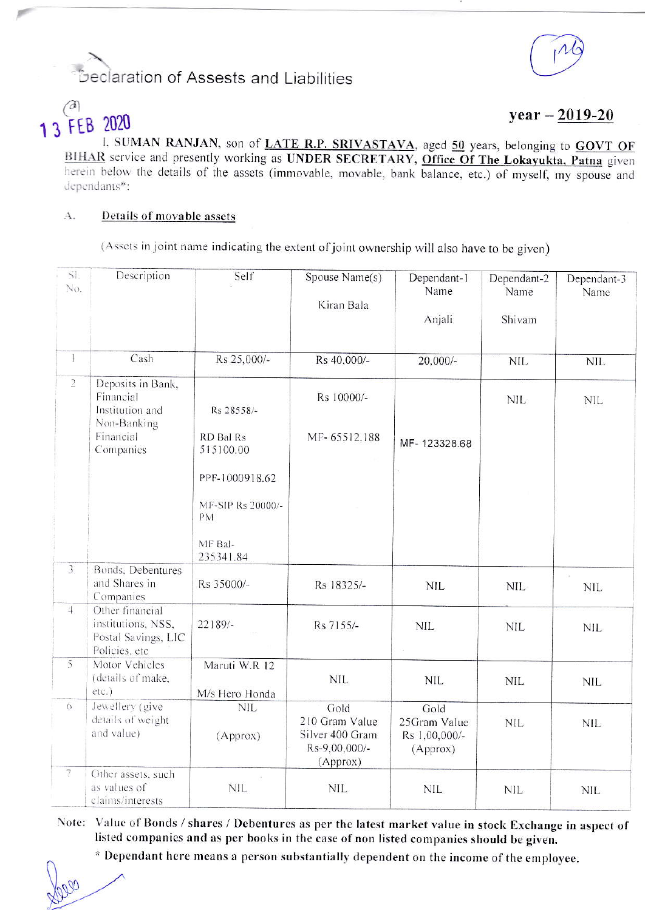## Declaration of Assests and Liabilities

# **FEB 2020**

 $year - 2019-20$ 

I, SUMAN RANJAN, son of LATE R.P. SRIVASTAVA, aged 50 years, belonging to GOVT OF BIHAR service and presently working as UNDER SECRETARY, Office Of The Lokayukta, Patna given herein below the details of the assets (immovable, movable, bank balance, etc.) of myself, my spouse and dependants\*:

#### $\Lambda$ . Details of movable assets

(Assets in joint name indicating the extent of joint ownership will also have to be given)

| SI.<br>No.              | Description                                                                   | Self                                                              | Spouse Name(s)<br>Kiran Bala                                           | Dependant-1<br>Name<br>Anjali                     | Dependant-2<br>Name<br>Shivam | Dependant-3<br>Name |
|-------------------------|-------------------------------------------------------------------------------|-------------------------------------------------------------------|------------------------------------------------------------------------|---------------------------------------------------|-------------------------------|---------------------|
| $\mathbf{1}$            | Cash                                                                          | Rs 25,000/-                                                       | Rs 40,000/-                                                            | 20,000/-                                          | <b>NIL</b>                    | <b>NIL</b>          |
| $\overline{2}$          | Deposits in Bank,<br>Financial<br>Institution and<br>Non-Banking<br>Financial | Rs 28558/-<br>RD Bal Rs                                           | Rs 10000/-<br>MF-65512.188                                             |                                                   | <b>NIL</b>                    | <b>NIL</b>          |
|                         | Companies                                                                     | 515100.00<br>PPF-1000918.62<br>MF-SIP Rs 20000/-<br>PM<br>MF Bal- |                                                                        | MF-123328.68                                      |                               |                     |
| $\overline{\mathbf{3}}$ | Bonds, Debentures<br>and Shares in<br>Companies                               | 235341.84<br>Rs 35000/-                                           | Rs 18325/-                                                             | <b>NIL</b>                                        | <b>NIL</b>                    | <b>NIL</b>          |
| $\downarrow$            | Other financial<br>institutions, NSS,<br>Postal Savings, LIC<br>Policies, etc | $22189/-$                                                         | Rs 7155/-                                                              | NIL.                                              | <b>NIL</b>                    | <b>NIL</b>          |
| $\overline{5}$          | Motor Vehicles<br>(details of make,<br>etc.)                                  | Maruti W.R 12<br>M/s Hero Honda                                   | <b>NIL</b>                                                             | <b>NIL</b>                                        | <b>NIL</b>                    | NIL                 |
| 6                       | Jewellery (give<br>details of weight<br>and value)                            | <b>NIL</b><br>(Approx)                                            | Gold<br>210 Gram Value<br>Silver 400 Gram<br>Rs-9,00,000/-<br>(Approx) | Gold<br>25Gram Value<br>Rs 1,00,000/-<br>(Approx) | <b>NIL</b>                    | <b>NIL</b>          |
| $\overline{\tau}$       | Other assets, such<br>as values of<br>claims/interests                        | <b>NIL</b>                                                        | <b>NIL</b>                                                             | <b>NIL</b>                                        | <b>NIL</b>                    | <b>NIL</b>          |

Note: Value of Bonds / shares / Debentures as per the latest market value in stock Exchange in aspect of listed companies and as per books in the case of non listed companies should be given.

\* Dependant here means a person substantially dependent on the income of the employee.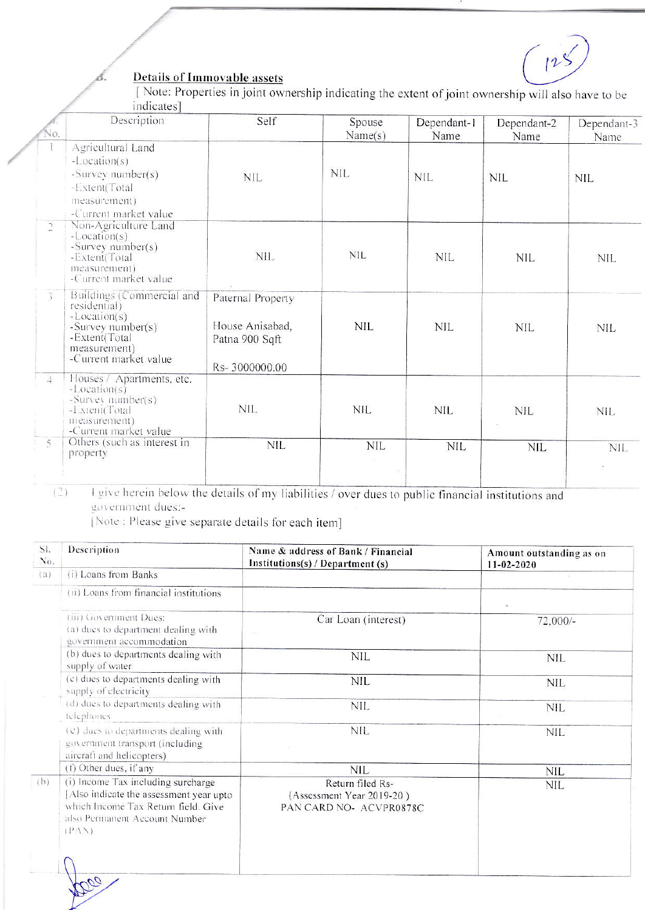$\int$ 

## **Details of Immovable assets**

ő.

[Note: Properties in joint ownership indicating the extent of joint ownership will also have to be indicates]

|                | Description                                                                                                                                | Self                                                                    | Spouse<br>Name(s) | Dependant-1<br>Name | Dependant-2<br>Name | Dependant-3<br>Name |
|----------------|--------------------------------------------------------------------------------------------------------------------------------------------|-------------------------------------------------------------------------|-------------------|---------------------|---------------------|---------------------|
|                | Agricultural Land<br>$-Location(s)$<br>-Survey number(s)<br>-Extent(Total<br>measurement)<br>-Current market value                         | <b>NIL</b>                                                              | <b>NIL</b>        | <b>NIL</b>          | <b>NIL</b>          | <b>NIL</b>          |
| $\sqrt{2}$     | Non-Agriculture Land<br>$-Location(s)$<br>-Survey number(s)<br>-Extent(Total<br>measurement)<br>-Current market value                      | NIL.                                                                    | <b>NIL</b>        | <b>NIL</b>          | NIL                 | NIL                 |
|                | Buildings (Commercial and<br>residential)<br>$-Location(s)$<br>-Survey number(s)<br>-Extent(Total<br>measurement)<br>-Current market value | Paternal Property<br>House Anisabad,<br>Patna 900 Sqft<br>Rs-3000000.00 | <b>NIL</b>        | <b>NIL</b>          | <b>NIL</b>          | <b>NIL</b>          |
| $\downarrow$   | Houses / Apartments, etc.<br>$-Location(s)$<br>-Survey number(s)<br>-Extent(Total<br>measurement)<br>-Current market value                 | <b>NIL</b>                                                              | <b>NIL</b>        | <b>NIL</b>          | <b>NIL</b>          | <b>NIL</b>          |
| $\overline{5}$ | Others (such as interest in<br>property                                                                                                    | <b>NIL</b>                                                              | NIL.              | <b>NIL</b>          | <b>NIL</b>          | NIL.                |

I give herein below the details of my liabilities / over dues to public financial institutions and  $\left( \begin{smallmatrix} \gamma \\ \omega \end{smallmatrix} \right)$ government dues:-

[Note : Please give separate details for each item]

| SI.<br>No. | Description                                                                                                                                                   | Name & address of Bank / Financial<br>Institutions(s) / Department (s)   | Amount outstanding as on<br>$11 - 02 - 2020$ |
|------------|---------------------------------------------------------------------------------------------------------------------------------------------------------------|--------------------------------------------------------------------------|----------------------------------------------|
| (a)        | (i) Loans from Banks                                                                                                                                          |                                                                          |                                              |
|            | (ii) Loans from financial institutions                                                                                                                        |                                                                          |                                              |
|            | (iii) Government Dues:<br>(a) dues to department dealing with<br>government accommodation                                                                     | Car Loan (interest)                                                      | $72,000/-$                                   |
|            | (b) dues to departments dealing with<br>supply of water                                                                                                       | <b>NIL</b>                                                               | <b>NIL</b>                                   |
|            | (c) dues to departments dealing with<br>supply of electricity                                                                                                 | <b>NIL</b>                                                               | <b>NIL</b>                                   |
|            | (d) dues to departments dealing with<br>telephones.                                                                                                           | <b>NIL</b>                                                               | <b>NIL</b>                                   |
|            | (c) dues to departments dealing with<br>government transport (including<br>aircraft and helicopters)                                                          | <b>NIL</b>                                                               | <b>NIL</b>                                   |
|            | (f) Other dues, if any                                                                                                                                        | <b>NIL</b>                                                               | <b>NIL</b>                                   |
| (b)        | (i) Income Tax including surcharge<br>Also indicate the assessment year upto<br>which Income Tax Return field. Give<br>also Permanent Account Number<br>(PAN) | Return filed Rs-<br>(Assessment Year 2019-20)<br>PAN CARD NO- ACVPR0878C | <b>NIL</b>                                   |